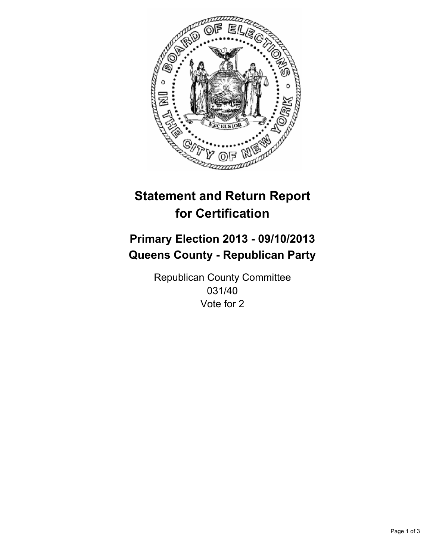

# **Statement and Return Report for Certification**

# **Primary Election 2013 - 09/10/2013 Queens County - Republican Party**

Republican County Committee 031/40 Vote for 2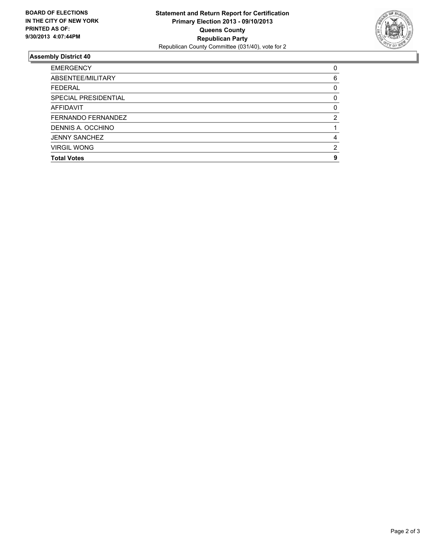

## **Assembly District 40**

| 0 |
|---|
| 6 |
| 0 |
| 0 |
| 0 |
| 2 |
|   |
| 4 |
| 2 |
| 9 |
|   |